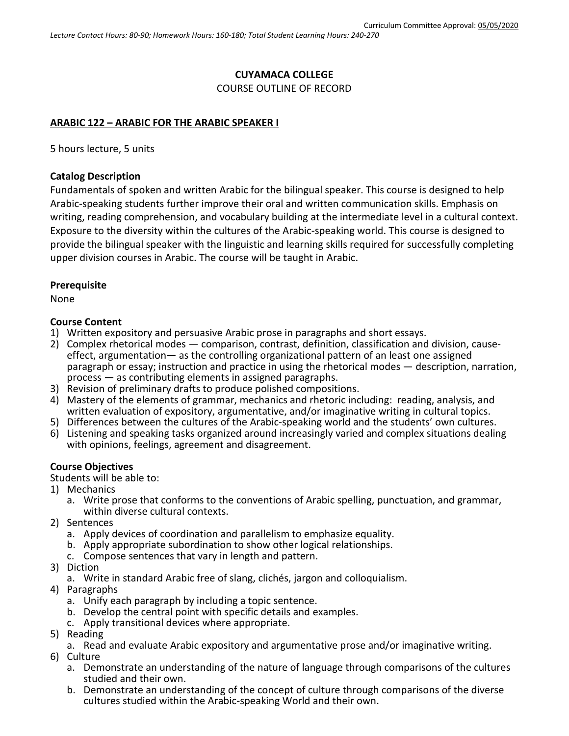## **CUYAMACA COLLEGE**

COURSE OUTLINE OF RECORD

## **ARABIC 122 – ARABIC FOR THE ARABIC SPEAKER I**

5 hours lecture, 5 units

## **Catalog Description**

Fundamentals of spoken and written Arabic for the bilingual speaker. This course is designed to help Arabic-speaking students further improve their oral and written communication skills. Emphasis on writing, reading comprehension, and vocabulary building at the intermediate level in a cultural context. Exposure to the diversity within the cultures of the Arabic-speaking world. This course is designed to provide the bilingual speaker with the linguistic and learning skills required for successfully completing upper division courses in Arabic. The course will be taught in Arabic.

## **Prerequisite**

None

## **Course Content**

- 1) Written expository and persuasive Arabic prose in paragraphs and short essays.
- 2) Complex rhetorical modes comparison, contrast, definition, classification and division, cause- effect, argumentation— as the controlling organizational pattern of an least one assigned paragraph or essay; instruction and practice in using the rhetorical modes — description, narration, process — as contributing elements in assigned paragraphs.
- 3) Revision of preliminary drafts to produce polished compositions.
- 4) Mastery of the elements of grammar, mechanics and rhetoric including: reading, analysis, and written evaluation of expository, argumentative, and/or imaginative writing in cultural topics.
- 5) Differences between the cultures of the Arabic-speaking world and the students' own cultures.
- 6) Listening and speaking tasks organized around increasingly varied and complex situations dealing with opinions, feelings, agreement and disagreement.

## **Course Objectives**

Students will be able to:

- 1) Mechanics
	- a. Write prose that conforms to the conventions of Arabic spelling, punctuation, and grammar, within diverse cultural contexts.
- 2) Sentences
	- a. Apply devices of coordination and parallelism to emphasize equality.
	- b. Apply appropriate subordination to show other logical relationships.
	- c. Compose sentences that vary in length and pattern.
- 3) Diction
	- a. Write in standard Arabic free of slang, clichés, jargon and colloquialism.
- 4) Paragraphs
	- a. Unify each paragraph by including a topic sentence.
	- b. Develop the central point with specific details and examples.
	- c. Apply transitional devices where appropriate.
- 5) Reading
	- a. Read and evaluate Arabic expository and argumentative prose and/or imaginative writing.
- 6) Culture
	- a. Demonstrate an understanding of the nature of language through comparisons of the cultures studied and their own.
	- b. Demonstrate an understanding of the concept of culture through comparisons of the diverse cultures studied within the Arabic-speaking World and their own.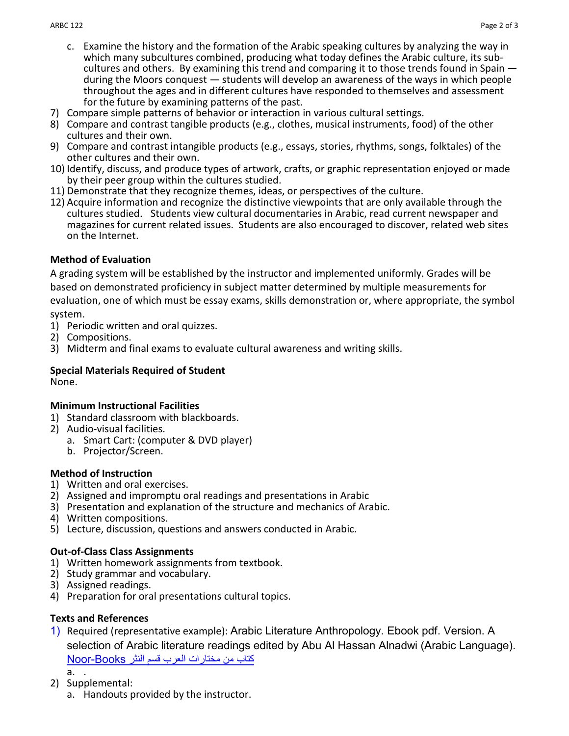- c. Examine the history and the formation of the Arabic speaking cultures by analyzing the way in which many subcultures combined, producing what today defines the Arabic culture, its subcultures and others. By examining this trend and comparing it to those trends found in Spain during the Moors conquest — students will develop an awareness of the ways in which people throughout the ages and in different cultures have responded to themselves and assessment for the future by examining patterns of the past.
- 7) Compare simple patterns of behavior or interaction in various cultural settings.
- 8) Compare and contrast tangible products (e.g., clothes, musical instruments, food) of the other cultures and their own.
- 9) Compare and contrast intangible products (e.g., essays, stories, rhythms, songs, folktales) of the other cultures and their own.
- 10) Identify, discuss, and produce types of artwork, crafts, or graphic representation enjoyed or made by their peer group within the cultures studied.
- 11) Demonstrate that they recognize themes, ideas, or perspectives of the culture.
- 12) Acquire information and recognize the distinctive viewpoints that are only available through the cultures studied. Students view cultural documentaries in Arabic, read current newspaper and magazines for current related issues. Students are also encouraged to discover, related web sites on the Internet.

# **Method of Evaluation**

A grading system will be established by the instructor and implemented uniformly. Grades will be based on demonstrated proficiency in subject matter determined by multiple measurements for evaluation, one of which must be essay exams, skills demonstration or, where appropriate, the symbol

system.

- 1) Periodic written and oral quizzes.
- 2) Compositions.
- 3) Midterm and final exams to evaluate cultural awareness and writing skills.

# **Special Materials Required of Student**

None.

# **Minimum Instructional Facilities**

- 1) Standard classroom with blackboards.
- 2) Audio-visual facilities.
	- a. Smart Cart: (computer & DVD player)
	- b. Projector/Screen.

# **Method of Instruction**

- 1) Written and oral exercises.
- 2) Assigned and impromptu oral readings and presentations in Arabic
- 3) Presentation and explanation of the structure and mechanics of Arabic.
- 4) Written compositions.
- 5) Lecture, discussion, questions and answers conducted in Arabic.

# **Out-of-Class Class Assignments**

- 1) Written homework assignments from textbook.
- 2) Study grammar and vocabulary.
- 3) Assigned readings.
- 4) Preparation for oral presentations cultural topics.

# **Texts and References**

- 1) Required (representative example): Arabic Literature Anthropology. Ebook pdf. Version. A selection of Arabic literature readings edited by Abu Al Hassan Alnadwi (Arabic Language). [كتاب من مختارات العرب قسم النثر](https://www.noor-book.com/%D9%83%D8%AA%D8%A7%D8%A8-%D9%85%D8%AE%D8%AA%D8%A7%D8%B1%D8%A7%D8%AA-%D9%85%D9%86-%D8%A3%D8%AF%D8%A8-%D8%A7%D9%84%D8%B9%D8%B1%D8%A8-%D9%82%D8%B3%D9%85-%D8%A7%D9%84%D9%86%D8%AB%D8%B1-pdf) Books-Noor a. .
- 2) Supplemental:
	- a. Handouts provided by the instructor.